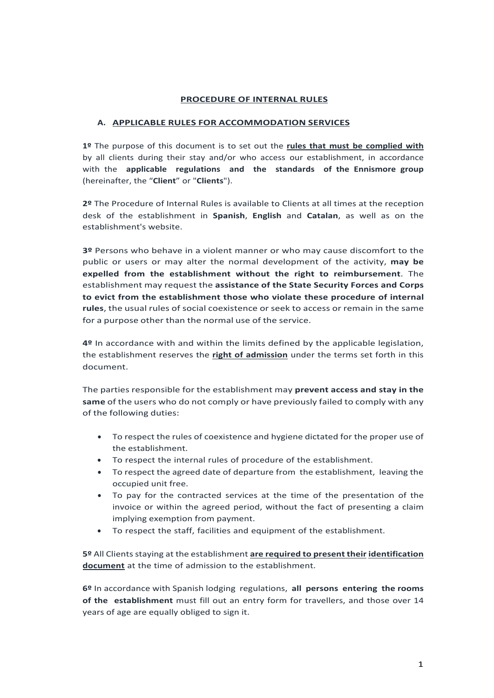### **PROCEDURE OF INTERNAL RULES**

### **A. APPLICABLE RULES FOR ACCOMMODATION SERVICES**

**1º** The purpose of this document is to set out the **rules that must be complied with** by all clients during their stay and/or who access our establishment, in accordance with the **applicable regulations and the standards of the Ennismore group** (hereinafter, the "**Client**" or "**Clients**").

**2º** The Procedure of Internal Rules is available to Clients at all times at the reception desk of the establishment in **Spanish**, **English** and **Catalan**, as well as on the establishment's website.

**3º** Persons who behave in a violent manner or who may cause discomfort to the public or users or may alter the normal development of the activity, **may be expelled from the establishment without the right to reimbursement**. The establishment may request the **assistance of the State Security Forces and Corps to evict from the establishment those who violate these procedure of internal rules**, the usual rules of social coexistence or seek to access or remain in the same for a purpose other than the normal use of the service.

**4º** In accordance with and within the limits defined by the applicable legislation, the establishment reserves the **right of admission** under the terms set forth in this document.

The parties responsible for the establishment may **prevent access and stay in the same** of the users who do not comply or have previously failed to comply with any of the following duties:

- To respect the rules of coexistence and hygiene dictated for the proper use of the establishment.
- To respect the internal rules of procedure of the establishment.
- To respect the agreed date of departure from the establishment, leaving the occupied unit free.
- To pay for the contracted services at the time of the presentation of the invoice or within the agreed period, without the fact of presenting a claim implying exemption from payment.
- To respect the staff, facilities and equipment of the establishment.

**5º** All Clientsstaying at the establishment **are required to present their identification document** at the time of admission to the establishment.

**6º** In accordance with Spanish lodging regulations, **all persons entering the rooms of the establishment** must fill out an entry form for travellers, and those over 14 years of age are equally obliged to sign it.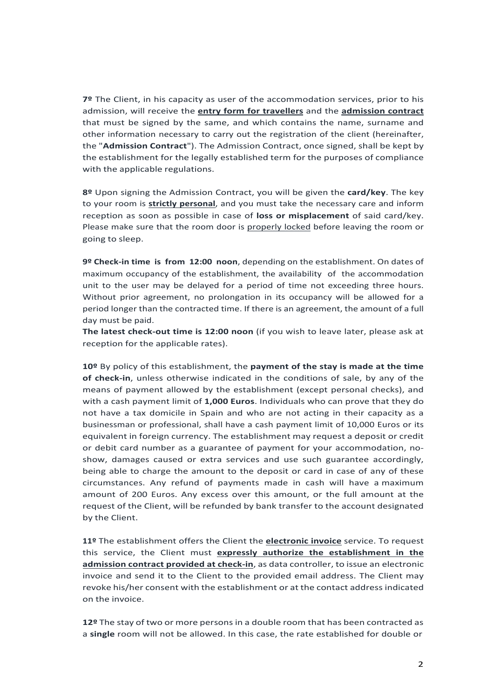**7º** The Client, in his capacity as user of the accommodation services, prior to his admission, will receive the **entry form for travellers** and the **admission contract** that must be signed by the same, and which contains the name, surname and other information necessary to carry out the registration of the client (hereinafter, the "**Admission Contract**"). The Admission Contract, once signed, shall be kept by the establishment for the legally established term for the purposes of compliance with the applicable regulations.

**8º** Upon signing the Admission Contract, you will be given the **card/key**. The key to your room is **strictly personal**, and you must take the necessary care and inform reception as soon as possible in case of **loss or misplacement** of said card/key. Please make sure that the room door is properly locked before leaving the room or going to sleep.

**9º Check-in time is from 12:00 noon**, depending on the establishment. On dates of maximum occupancy of the establishment, the availability of the accommodation unit to the user may be delayed for a period of time not exceeding three hours. Without prior agreement, no prolongation in its occupancy will be allowed for a period longer than the contracted time. If there is an agreement, the amount of a full day must be paid.

**The latest check-out time is 12:00 noon** (if you wish to leave later, please ask at reception for the applicable rates).

**10º** By policy of this establishment, the **payment of the stay is made at the time of check-in**, unless otherwise indicated in the conditions of sale, by any of the means of payment allowed by the establishment (except personal checks), and with a cash payment limit of **1,000 Euros**. Individuals who can prove that they do not have a tax domicile in Spain and who are not acting in their capacity as a businessman or professional, shall have a cash payment limit of 10,000 Euros or its equivalent in foreign currency. The establishment may request a deposit or credit or debit card number as a guarantee of payment for your accommodation, noshow, damages caused or extra services and use such guarantee accordingly, being able to charge the amount to the deposit or card in case of any of these circumstances. Any refund of payments made in cash will have a maximum amount of 200 Euros. Any excess over this amount, or the full amount at the request of the Client, will be refunded by bank transfer to the account designated by the Client.

**11º** The establishment offers the Client the **electronic invoice** service. To request this service, the Client must **expressly authorize the establishment in the admission contract provided at check-in**, as data controller, to issue an electronic invoice and send it to the Client to the provided email address. The Client may revoke his/her consent with the establishment or at the contact address indicated on the invoice.

**12º** The stay of two or more personsin a double room that has been contracted as a **single** room will not be allowed. In this case, the rate established for double or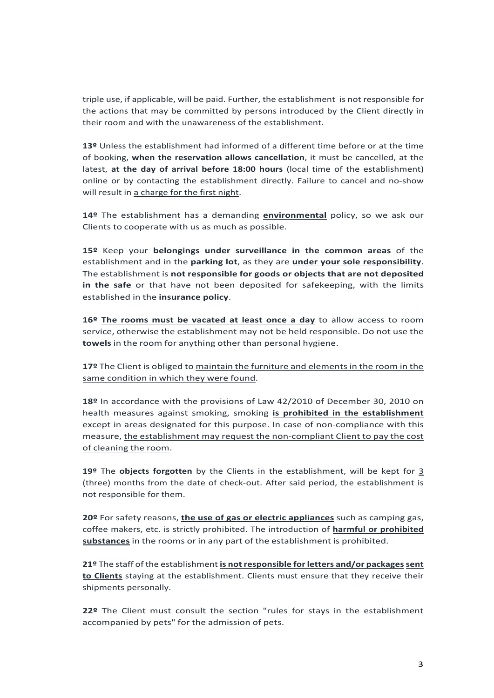triple use, if applicable, will be paid. Further, the establishment is not responsible for the actions that may be committed by persons introduced by the Client directly in their room and with the unawareness of the establishment.

**13º** Unless the establishment had informed of a different time before or at the time of booking, **when the reservation allows cancellation**, it must be cancelled, at the latest, **at the day of arrival before 18:00 hours** (local time of the establishment) online or by contacting the establishment directly. Failure to cancel and no-show will result in a charge for the first night.

**14º** The establishment has a demanding **environmental** policy, so we ask our Clients to cooperate with us as much as possible.

**15º** Keep your **belongings under surveillance in the common areas** of the establishment and in the **parking lot**, as they are **under your sole responsibility**. The establishment is **not responsible for goods or objects that are not deposited in the safe** or that have not been deposited for safekeeping, with the limits established in the **insurance policy**.

**16º The rooms must be vacated at least once a day** to allow access to room service, otherwise the establishment may not be held responsible. Do not use the **towels** in the room for anything other than personal hygiene.

**17º** The Client is obliged to maintain the furniture and elements in the room in the same condition in which they were found.

**18º** In accordance with the provisions of Law 42/2010 of December 30, 2010 on health measures against smoking, smoking **is prohibited in the establishment** except in areas designated for this purpose. In case of non-compliance with this measure, the establishment may request the non-compliant Client to pay the cost of cleaning the room.

**19º** The **objects forgotten** by the Clients in the establishment, will be kept for 3 (three) months from the date of check-out. After said period, the establishment is not responsible for them.

**20º** For safety reasons, **the use of gas or electric appliances** such as camping gas, coffee makers, etc. is strictly prohibited. The introduction of **harmful or prohibited substances** in the rooms or in any part of the establishment is prohibited.

**21º** The staff of the establishment **is not responsible for letters and/or packagessent to Clients** staying at the establishment. Clients must ensure that they receive their shipments personally.

**22º** The Client must consult the section "rules for stays in the establishment accompanied by pets" for the admission of pets.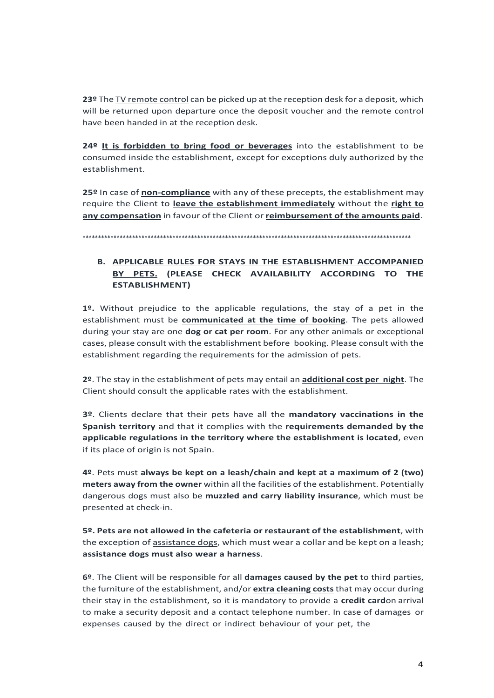**23º** The TV remote control can be picked up at the reception desk for a deposit, which will be returned upon departure once the deposit voucher and the remote control have been handed in at the reception desk.

**24º It is forbidden to bring food or beverages** into the establishment to be consumed inside the establishment, except for exceptions duly authorized by the establishment.

**25º** In case of **non-compliance** with any of these precepts, the establishment may require the Client to **leave the establishment immediately** without the **right to any compensation** in favour of the Client or **reimbursement of the amounts paid**.

\*\*\*\*\*\*\*\*\*\*\*\*\*\*\*\*\*\*\*\*\*\*\*\*\*\*\*\*\*\*\*\*\*\*\*\*\*\*\*\*\*\*\*\*\*\*\*\*\*\*\*\*\*\*\*\*\*\*\*\*\*\*\*\*\*\*\*\*\*\*\*\*\*\*\*\*\*\*\*\*\*\*\*\*\*\*\*\*\*\*\*\*\*\*\*\*\*\*\*\*\*\*\*\*\*\*

# **B. APPLICABLE RULES FOR STAYS IN THE ESTABLISHMENT ACCOMPANIED BY PETS. (PLEASE CHECK AVAILABILITY ACCORDING TO THE ESTABLISHMENT)**

**1º.** Without prejudice to the applicable regulations, the stay of a pet in the establishment must be **communicated at the time of booking**. The pets allowed during your stay are one **dog or cat per room**. For any other animals or exceptional cases, please consult with the establishment before booking. Please consult with the establishment regarding the requirements for the admission of pets.

**2º**. The stay in the establishment of pets may entail an **additional cost per night**. The Client should consult the applicable rates with the establishment.

**3º**. Clients declare that their pets have all the **mandatory vaccinations in the Spanish territory** and that it complies with the **requirements demanded by the applicable regulations in the territory where the establishment is located**, even if its place of origin is not Spain.

**4º**. Pets must **always be kept on a leash/chain and kept at a maximum of 2 (two) meters away from the owner** within all the facilities of the establishment. Potentially dangerous dogs must also be **muzzled and carry liability insurance**, which must be presented at check-in.

**5º. Pets are not allowed in the cafeteria or restaurant of the establishment**, with the exception of assistance dogs, which must wear a collar and be kept on a leash; **assistance dogs must also wear a harness**.

**6º**. The Client will be responsible for all **damages caused by the pet** to third parties, the furniture of the establishment, and/or **extra cleaning costs** that may occur during their stay in the establishment, so it is mandatory to provide a **credit card**on arrival to make a security deposit and a contact telephone number. In case of damages or expenses caused by the direct or indirect behaviour of your pet, the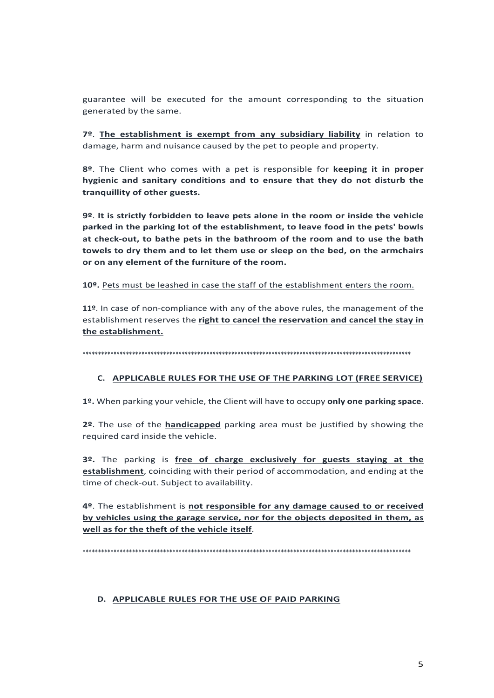guarantee will be executed for the amount corresponding to the situation generated by the same.

7º. The establishment is exempt from any subsidiary liability in relation to damage, harm and nuisance caused by the pet to people and property.

8º. The Client who comes with a pet is responsible for keeping it in proper hygienic and sanitary conditions and to ensure that they do not disturb the tranquillity of other guests.

9º. It is strictly forbidden to leave pets alone in the room or inside the vehicle parked in the parking lot of the establishment, to leave food in the pets' bowls at check-out, to bathe pets in the bathroom of the room and to use the bath towels to dry them and to let them use or sleep on the bed, on the armchairs or on any element of the furniture of the room.

10º. Pets must be leashed in case the staff of the establishment enters the room.

11º. In case of non-compliance with any of the above rules, the management of the establishment reserves the right to cancel the reservation and cancel the stay in the establishment.

### C. APPLICABLE RULES FOR THE USE OF THE PARKING LOT (FREE SERVICE)

1º. When parking your vehicle, the Client will have to occupy only one parking space.

2º. The use of the handicapped parking area must be justified by showing the required card inside the vehicle.

3º. The parking is free of charge exclusively for guests staying at the establishment, coinciding with their period of accommodation, and ending at the time of check-out. Subject to availability.

4º. The establishment is not responsible for any damage caused to or received by vehicles using the garage service, nor for the objects deposited in them, as well as for the theft of the vehicle itself.

#### D. APPLICABLE RULES FOR THE USE OF PAID PARKING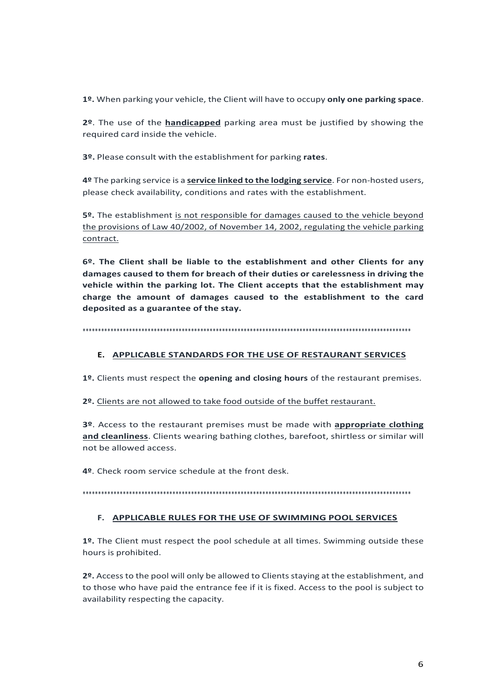1º. When parking your vehicle, the Client will have to occupy only one parking space.

2º. The use of the **handicapped** parking area must be justified by showing the required card inside the vehicle.

3º. Please consult with the establishment for parking rates.

4º The parking service is a service linked to the lodging service. For non-hosted users, please check availability, conditions and rates with the establishment.

5º. The establishment is not responsible for damages caused to the vehicle beyond the provisions of Law 40/2002, of November 14, 2002, regulating the vehicle parking contract.

6º. The Client shall be liable to the establishment and other Clients for any damages caused to them for breach of their duties or carelessness in driving the vehicle within the parking lot. The Client accepts that the establishment may charge the amount of damages caused to the establishment to the card deposited as a guarantee of the stay.

## E. APPLICABLE STANDARDS FOR THE USE OF RESTAURANT SERVICES

1º. Clients must respect the opening and closing hours of the restaurant premises.

2º. Clients are not allowed to take food outside of the buffet restaurant.

3º. Access to the restaurant premises must be made with appropriate clothing and cleanliness. Clients wearing bathing clothes, barefoot, shirtless or similar will not be allowed access.

4º. Check room service schedule at the front desk.

## F. APPLICABLE RULES FOR THE USE OF SWIMMING POOL SERVICES

1º. The Client must respect the pool schedule at all times. Swimming outside these hours is prohibited.

2º. Access to the pool will only be allowed to Clients staying at the establishment, and to those who have paid the entrance fee if it is fixed. Access to the pool is subject to availability respecting the capacity.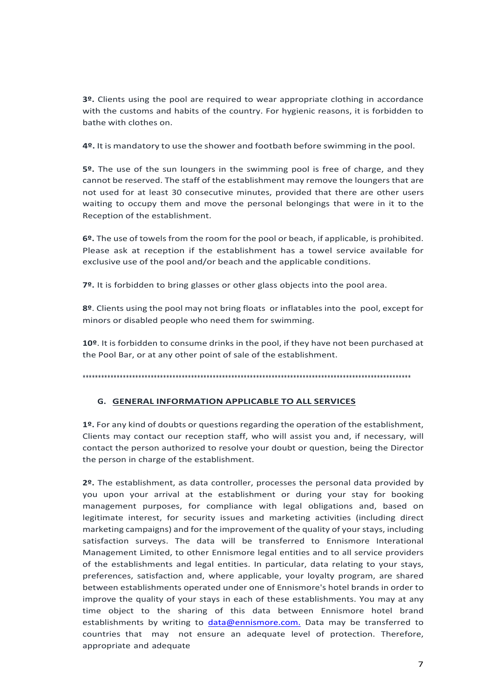**3º.** Clients using the pool are required to wear appropriate clothing in accordance with the customs and habits of the country. For hygienic reasons, it is forbidden to bathe with clothes on.

**4º.** It is mandatory to use the shower and footbath before swimming in the pool.

**5º.** The use of the sun loungers in the swimming pool is free of charge, and they cannot be reserved. The staff of the establishment may remove the loungers that are not used for at least 30 consecutive minutes, provided that there are other users waiting to occupy them and move the personal belongings that were in it to the Reception of the establishment.

**6º.** The use of towels from the room for the pool or beach, if applicable, is prohibited. Please ask at reception if the establishment has a towel service available for exclusive use of the pool and/or beach and the applicable conditions.

**7º.** It is forbidden to bring glasses or other glass objects into the pool area.

**8º**. Clients using the pool may not bring floats or inflatables into the pool, except for minors or disabled people who need them for swimming.

**10º**. It is forbidden to consume drinks in the pool, if they have not been purchased at the Pool Bar, or at any other point of sale of the establishment.

\*\*\*\*\*\*\*\*\*\*\*\*\*\*\*\*\*\*\*\*\*\*\*\*\*\*\*\*\*\*\*\*\*\*\*\*\*\*\*\*\*\*\*\*\*\*\*\*\*\*\*\*\*\*\*\*\*\*\*\*\*\*\*\*\*\*\*\*\*\*\*\*\*\*\*\*\*\*\*\*\*\*\*\*\*\*\*\*\*\*\*\*\*\*\*\*\*\*\*\*\*\*\*\*\*\*

## **G. GENERAL INFORMATION APPLICABLE TO ALL SERVICES**

**1º.** For any kind of doubts or questions regarding the operation of the establishment, Clients may contact our reception staff, who will assist you and, if necessary, will contact the person authorized to resolve your doubt or question, being the Director the person in charge of the establishment.

**2º.** The establishment, as data controller, processes the personal data provided by you upon your arrival at the establishment or during your stay for booking management purposes, for compliance with legal obligations and, based on legitimate interest, for security issues and marketing activities (including direct marketing campaigns) and for the improvement of the quality of yourstays, including satisfaction surveys. The data will be transferred to Ennismore Interational Management Limited, to other Ennismore legal entities and to all service providers of the establishments and legal entities. In particular, data relating to your stays, preferences, satisfaction and, where applicable, your loyalty program, are shared between establishments operated under one of Ennismore's hotel brands in order to improve the quality of your stays in each of these establishments. You may at any time object to the sharing of this data between Ennismore hotel brand establishments by writing to data@ennismore.com. Data may be transferred to countries that may not ensure an adequate level of protection. Therefore, appropriate and adequate